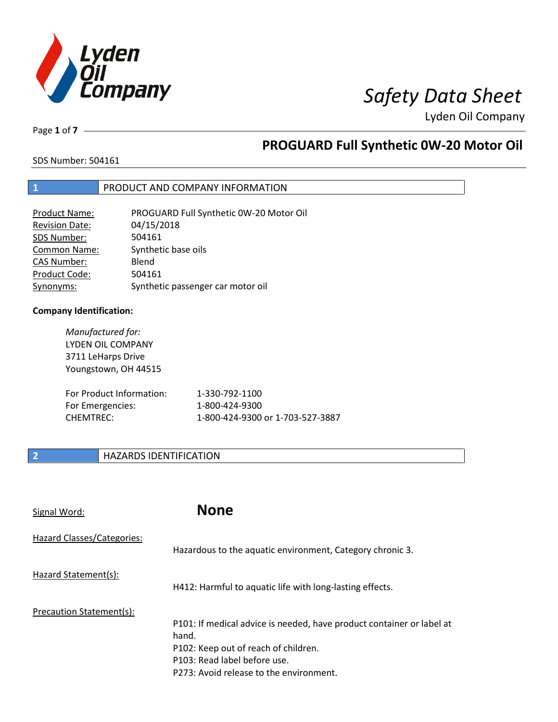

Lyden Oil Company

Page **1** of **7**

### **PROGUARD Full Synthetic 0W-20 Motor Oil**

SDS Number: 504161

#### **1** PRODUCT AND COMPANY INFORMATION

| <b>Product Name:</b>  | PROGUARD Full Synthetic 0W-20 Motor Oil |
|-----------------------|-----------------------------------------|
| <b>Revision Date:</b> | 04/15/2018                              |
| SDS Number:           | 504161                                  |
| <b>Common Name:</b>   | Synthetic base oils                     |
| <b>CAS Number:</b>    | Blend                                   |
| Product Code:         | 504161                                  |
| Synonyms:             | Synthetic passenger car motor oil       |

#### **Company Identification:**

*Manufactured for:*  LYDEN OIL COMPANY 3711 LeHarps Drive Youngstown, OH 44515

| For Product Information: | 1-330-792-1100                   |
|--------------------------|----------------------------------|
| For Emergencies:         | 1-800-424-9300                   |
| CHEMTREC:                | 1-800-424-9300 or 1-703-527-3887 |

#### **2 HAZARDS IDENTIFICATION**

| Signal Word:               | <b>None</b>                                                                                                                                                                                       |
|----------------------------|---------------------------------------------------------------------------------------------------------------------------------------------------------------------------------------------------|
| Hazard Classes/Categories: | Hazardous to the aquatic environment, Category chronic 3.                                                                                                                                         |
| Hazard Statement(s):       | H412: Harmful to aquatic life with long-lasting effects.                                                                                                                                          |
| Precaution Statement(s):   | P101: If medical advice is needed, have product container or label at<br>hand.<br>P102: Keep out of reach of children.<br>P103: Read label before use.<br>P273: Avoid release to the environment. |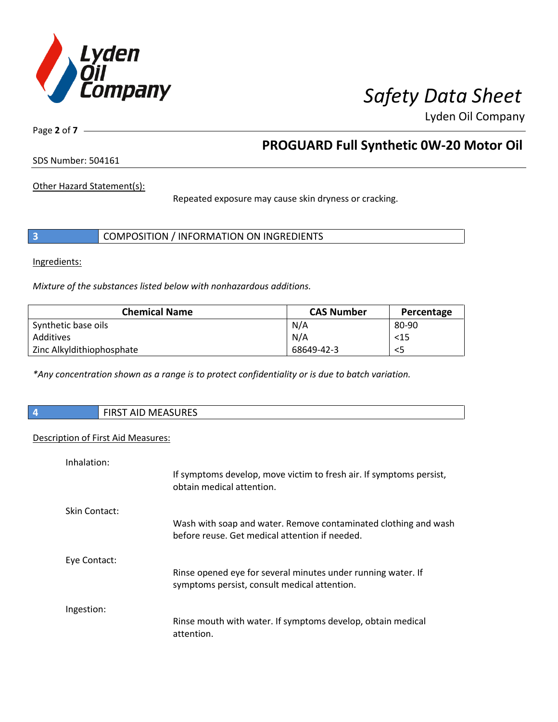

Lyden Oil Company

Page **2** of **7**

### **PROGUARD Full Synthetic 0W-20 Motor Oil**

SDS Number: 504161

Other Hazard Statement(s):

Repeated exposure may cause skin dryness or cracking.

|  | COMPOSITION / INFORMATION ON INGREDIENTS |
|--|------------------------------------------|
|--|------------------------------------------|

Ingredients:

*Mixture of the substances listed below with nonhazardous additions.* 

| <b>Chemical Name</b>      | <b>CAS Number</b> | Percentage |
|---------------------------|-------------------|------------|
| Synthetic base oils       | N/A               | 80-90      |
| Additives                 | N/A               | $15$       |
| Zinc Alkyldithiophosphate | 68649-42-3        | <5         |

*\*Any concentration shown as a range is to protect confidentiality or is due to batch variation.*

| <b>NAEACLIDEC</b><br><b>FIDCT AID</b><br>FIRST AID MEASURES |
|-------------------------------------------------------------|
|                                                             |

#### Description of First Aid Measures:

| Inhalation:   |                                                                                                                   |
|---------------|-------------------------------------------------------------------------------------------------------------------|
|               | If symptoms develop, move victim to fresh air. If symptoms persist,<br>obtain medical attention.                  |
| Skin Contact: |                                                                                                                   |
|               | Wash with soap and water. Remove contaminated clothing and wash<br>before reuse. Get medical attention if needed. |
| Eye Contact:  |                                                                                                                   |
|               | Rinse opened eye for several minutes under running water. If<br>symptoms persist, consult medical attention.      |
| Ingestion:    |                                                                                                                   |
|               | Rinse mouth with water. If symptoms develop, obtain medical<br>attention.                                         |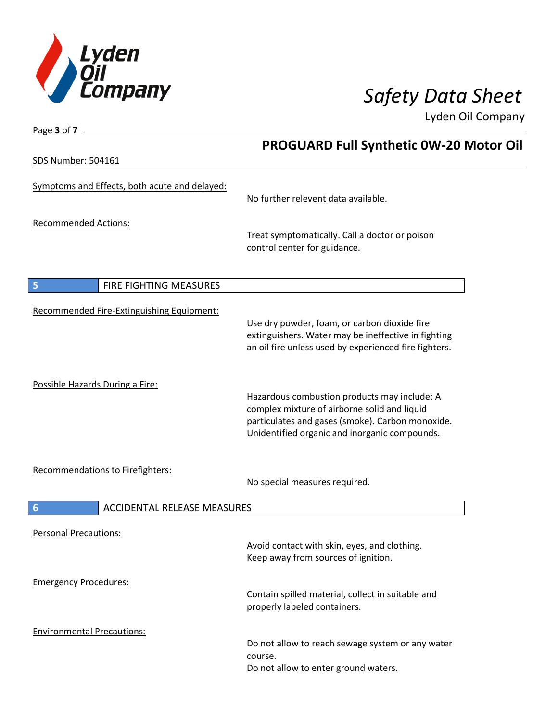

Page **3** of **7**

### *Safety Data Sheet*

Lyden Oil Company

|                                                       | <b>PROGUARD Full Synthetic 0W-20 Motor Oil</b>                                                                                                                                                    |  |
|-------------------------------------------------------|---------------------------------------------------------------------------------------------------------------------------------------------------------------------------------------------------|--|
| <b>SDS Number: 504161</b>                             |                                                                                                                                                                                                   |  |
| Symptoms and Effects, both acute and delayed:         | No further relevent data available.                                                                                                                                                               |  |
| <b>Recommended Actions:</b>                           | Treat symptomatically. Call a doctor or poison<br>control center for guidance.                                                                                                                    |  |
| 5<br>FIRE FIGHTING MEASURES                           |                                                                                                                                                                                                   |  |
| Recommended Fire-Extinguishing Equipment:             | Use dry powder, foam, or carbon dioxide fire<br>extinguishers. Water may be ineffective in fighting<br>an oil fire unless used by experienced fire fighters.                                      |  |
| Possible Hazards During a Fire:                       | Hazardous combustion products may include: A<br>complex mixture of airborne solid and liquid<br>particulates and gases (smoke). Carbon monoxide.<br>Unidentified organic and inorganic compounds. |  |
| Recommendations to Firefighters:                      | No special measures required.                                                                                                                                                                     |  |
| <b>ACCIDENTAL RELEASE MEASURES</b><br>$6\phantom{1}6$ |                                                                                                                                                                                                   |  |
| <b>Personal Precautions:</b>                          | Avoid contact with skin, eyes, and clothing.<br>Keep away from sources of ignition.                                                                                                               |  |
| <b>Emergency Procedures:</b>                          | Contain spilled material, collect in suitable and<br>properly labeled containers.                                                                                                                 |  |
| <b>Environmental Precautions:</b>                     | Do not allow to reach sewage system or any water<br>course.<br>Do not allow to enter ground waters.                                                                                               |  |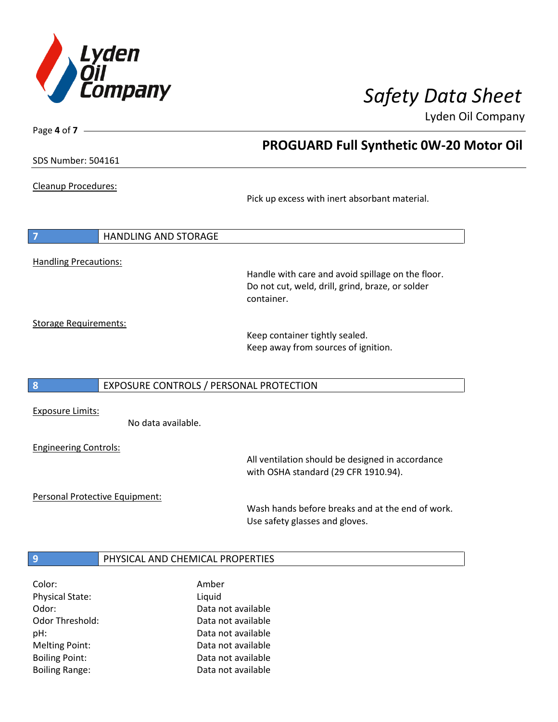

**PROGUARD Full Synthetic 0W-20 Motor Oil** 

Lyden Oil Company

SDS Number: 504161

Page **4** of **7**

Cleanup Procedures:

Pick up excess with inert absorbant material.

**7** HANDLING AND STORAGE Handling Precautions:

> Handle with care and avoid spillage on the floor. Do not cut, weld, drill, grind, braze, or solder container.

Storage Requirements:

Keep container tightly sealed. Keep away from sources of ignition.

#### **8** EXPOSURE CONTROLS / PERSONAL PROTECTION

Exposure Limits:

No data available.

Engineering Controls:

All ventilation should be designed in accordance with OSHA standard (29 CFR 1910.94).

Personal Protective Equipment:

Wash hands before breaks and at the end of work. Use safety glasses and gloves.

#### **9 PHYSICAL AND CHEMICAL PROPERTIES**

| Color:                 | Amber              |
|------------------------|--------------------|
| <b>Physical State:</b> | Liquid             |
| Odor:                  | Data not available |
| Odor Threshold:        | Data not available |
| pH:                    | Data not available |
| <b>Melting Point:</b>  | Data not available |
| <b>Boiling Point:</b>  | Data not available |
| <b>Boiling Range:</b>  | Data not available |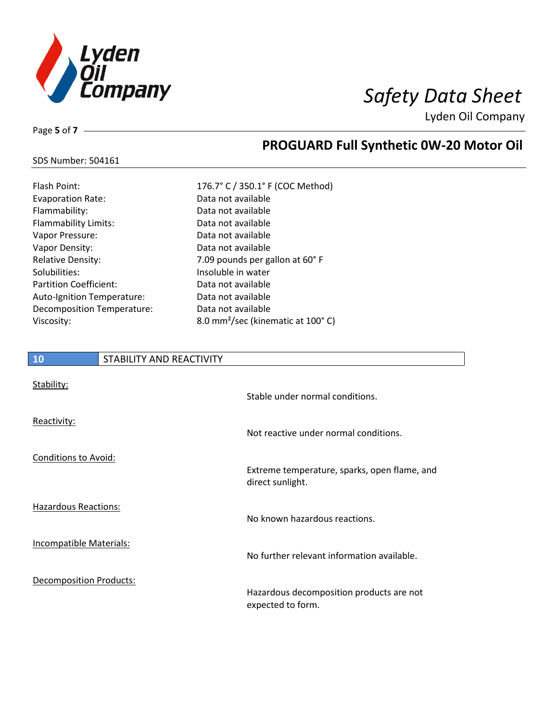

Lyden Oil Company

Page **5** of **7**

### **PROGUARD Full Synthetic 0W-20 Motor Oil**

| <b>SDS Number: 504161</b> |  |
|---------------------------|--|
|---------------------------|--|

| <b>Flash Point:</b>           | 176.7° C / 350.1° F             |
|-------------------------------|---------------------------------|
| <b>Evaporation Rate:</b>      | Data not available              |
| Flammability:                 | Data not available              |
| Flammability Limits:          | Data not available              |
| Vapor Pressure:               | Data not available              |
| Vapor Density:                | Data not available              |
| <b>Relative Density:</b>      | 7.09 pounds per ga              |
| Solubilities:                 | Insoluble in water              |
| <b>Partition Coefficient:</b> | Data not available              |
| Auto-Ignition Temperature:    | Data not available              |
| Decomposition Temperature:    | Data not available              |
| Viscosity:                    | 8.0 mm <sup>2</sup> /sec (kiner |
|                               |                                 |

| Flash Point:                  | 176.7° C / 350.1° F (COC Method)              |
|-------------------------------|-----------------------------------------------|
| <b>Evaporation Rate:</b>      | Data not available                            |
| Flammability:                 | Data not available                            |
| <b>Flammability Limits:</b>   | Data not available                            |
| Vapor Pressure:               | Data not available                            |
| Vapor Density:                | Data not available                            |
| <b>Relative Density:</b>      | 7.09 pounds per gallon at 60° F               |
| Solubilities:                 | Insoluble in water                            |
| <b>Partition Coefficient:</b> | Data not available                            |
| Auto-Ignition Temperature:    | Data not available                            |
| Decomposition Temperature:    | Data not available                            |
| Viscosity:                    | 8.0 mm <sup>2</sup> /sec (kinematic at 100°C) |

| 10<br>STABILITY AND REACTIVITY |                                                                  |
|--------------------------------|------------------------------------------------------------------|
| Stability:                     | Stable under normal conditions.                                  |
| Reactivity:                    | Not reactive under normal conditions.                            |
| <b>Conditions to Avoid:</b>    | Extreme temperature, sparks, open flame, and<br>direct sunlight. |
| <b>Hazardous Reactions:</b>    | No known hazardous reactions.                                    |
| Incompatible Materials:        | No further relevant information available.                       |
| <b>Decomposition Products:</b> | Hazardous decomposition products are not<br>expected to form.    |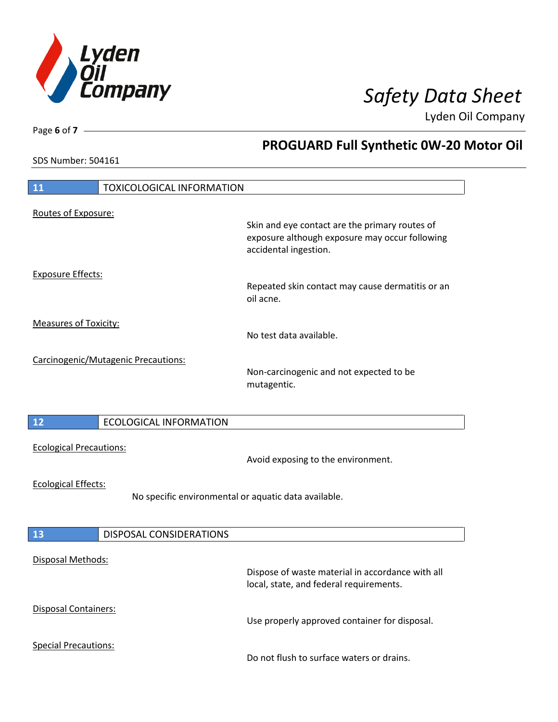

**PROGUARD Full Synthetic 0W-20 Motor Oil** 

Lyden Oil Company

SDS Number: 504161

Page **6** of **7**

| 11                                                                                 | <b>TOXICOLOGICAL INFORMATION</b>    |                                                                                                                           |
|------------------------------------------------------------------------------------|-------------------------------------|---------------------------------------------------------------------------------------------------------------------------|
| Routes of Exposure:                                                                |                                     | Skin and eye contact are the primary routes of<br>exposure although exposure may occur following<br>accidental ingestion. |
| <b>Exposure Effects:</b>                                                           |                                     | Repeated skin contact may cause dermatitis or an<br>oil acne.                                                             |
| <b>Measures of Toxicity:</b>                                                       |                                     | No test data available.                                                                                                   |
|                                                                                    | Carcinogenic/Mutagenic Precautions: | Non-carcinogenic and not expected to be<br>mutagentic.                                                                    |
| 12                                                                                 | <b>ECOLOGICAL INFORMATION</b>       |                                                                                                                           |
| <b>Ecological Precautions:</b>                                                     |                                     | Avoid exposing to the environment.                                                                                        |
| <b>Ecological Effects:</b><br>No specific environmental or aquatic data available. |                                     |                                                                                                                           |
| 13                                                                                 | DISPOSAL CONSIDERATIONS             |                                                                                                                           |
| Disposal Methods:                                                                  |                                     | Dispose of waste material in accordance with all<br>local, state, and federal requirements.                               |
| <b>Disposal Containers:</b>                                                        |                                     | Use properly approved container for disposal.                                                                             |
|                                                                                    |                                     |                                                                                                                           |